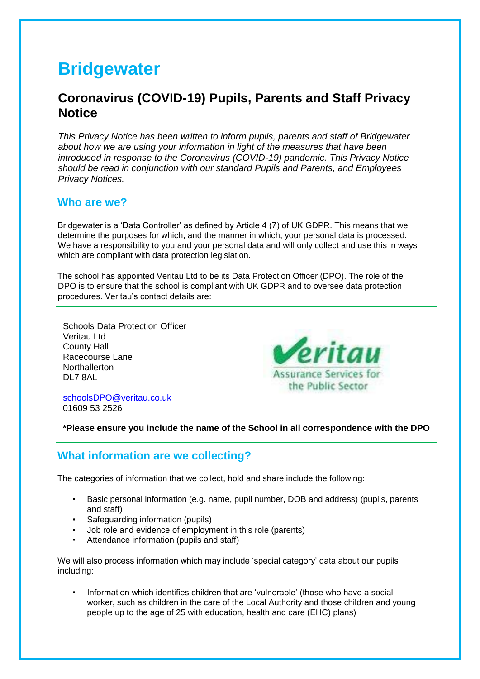# **Bridgewater**

# **Coronavirus (COVID-19) Pupils, Parents and Staff Privacy Notice**

*This Privacy Notice has been written to inform pupils, parents and staff of Bridgewater about how we are using your information in light of the measures that have been introduced in response to the Coronavirus (COVID-19) pandemic. This Privacy Notice should be read in conjunction with our standard Pupils and Parents, and Employees Privacy Notices.* 

#### **Who are we?**

Bridgewater is a 'Data Controller' as defined by Article 4 (7) of UK GDPR. This means that we determine the purposes for which, and the manner in which, your personal data is processed. We have a responsibility to you and your personal data and will only collect and use this in ways which are compliant with data protection legislation.

The school has appointed Veritau Ltd to be its Data Protection Officer (DPO). The role of the DPO is to ensure that the school is compliant with UK GDPR and to oversee data protection procedures. Veritau's contact details are:

Schools Data Protection Officer Veritau Ltd County Hall Racecourse Lane **Northallerton** DL7 8AL



schoolsDPO@veritau.co.uk 01609 53 2526

**\*Please ensure you include the name of the School in all correspondence with the DPO** 

#### **What information are we collecting?**

The categories of information that we collect, hold and share include the following:

- Basic personal information (e.g. name, pupil number, DOB and address) (pupils, parents and staff)
- Safeguarding information (pupils)
- Job role and evidence of employment in this role (parents)
- Attendance information (pupils and staff)

We will also process information which may include 'special category' data about our pupils including:

• Information which identifies children that are 'vulnerable' (those who have a social worker, such as children in the care of the Local Authority and those children and young people up to the age of 25 with education, health and care (EHC) plans)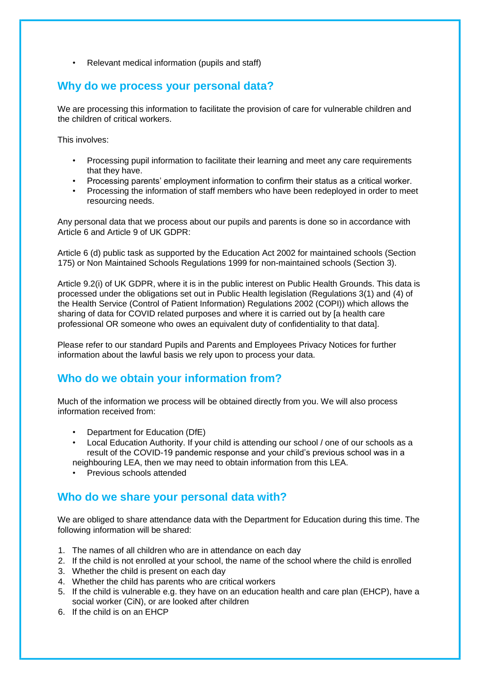• Relevant medical information (pupils and staff)

#### **Why do we process your personal data?**

We are processing this information to facilitate the provision of care for vulnerable children and the children of critical workers.

This involves:

- Processing pupil information to facilitate their learning and meet any care requirements that they have.
- Processing parents' employment information to confirm their status as a critical worker.
- Processing the information of staff members who have been redeployed in order to meet resourcing needs.

Any personal data that we process about our pupils and parents is done so in accordance with Article 6 and Article 9 of UK GDPR:

Article 6 (d) public task as supported by the Education Act 2002 for maintained schools (Section 175) or Non Maintained Schools Regulations 1999 for non-maintained schools (Section 3).

Article 9.2(i) of UK GDPR, where it is in the public interest on Public Health Grounds. This data is processed under the obligations set out in Public Health legislation (Regulations 3(1) and (4) of the Health Service (Control of Patient Information) Regulations 2002 (COPI)) which allows the sharing of data for COVID related purposes and where it is carried out by [a health care professional OR someone who owes an equivalent duty of confidentiality to that data].

Please refer to our standard Pupils and Parents and Employees Privacy Notices for further information about the lawful basis we rely upon to process your data.

#### **Who do we obtain your information from?**

Much of the information we process will be obtained directly from you. We will also process information received from:

- Department for Education (DfE)
- Local Education Authority. If your child is attending our school / one of our schools as a result of the COVID-19 pandemic response and your child's previous school was in a neighbouring LEA, then we may need to obtain information from this LEA.
- Previous schools attended

#### **Who do we share your personal data with?**

We are obliged to share attendance data with the Department for Education during this time. The following information will be shared:

- 1. The names of all children who are in attendance on each day
- 2. If the child is not enrolled at your school, the name of the school where the child is enrolled
- 3. Whether the child is present on each day
- 4. Whether the child has parents who are critical workers
- 5. If the child is vulnerable e.g. they have on an education health and care plan (EHCP), have a social worker (CiN), or are looked after children
- 6. If the child is on an EHCP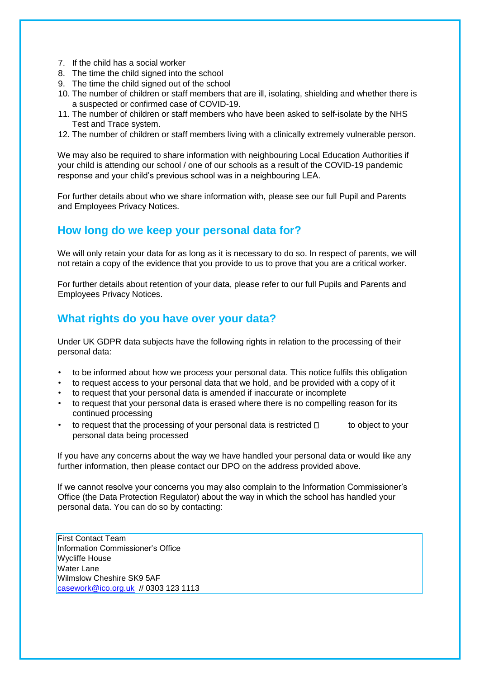- 7. If the child has a social worker
- 8. The time the child signed into the school
- 9. The time the child signed out of the school
- 10. The number of children or staff members that are ill, isolating, shielding and whether there is a suspected or confirmed case of COVID-19.
- 11. The number of children or staff members who have been asked to self-isolate by the NHS Test and Trace system.
- 12. The number of children or staff members living with a clinically extremely vulnerable person.

We may also be required to share information with neighbouring Local Education Authorities if your child is attending our school / one of our schools as a result of the COVID-19 pandemic response and your child's previous school was in a neighbouring LEA.

For further details about who we share information with, please see our full Pupil and Parents and Employees Privacy Notices.

#### **How long do we keep your personal data for?**

We will only retain your data for as long as it is necessary to do so. In respect of parents, we will not retain a copy of the evidence that you provide to us to prove that you are a critical worker.

For further details about retention of your data, please refer to our full Pupils and Parents and Employees Privacy Notices.

#### **What rights do you have over your data?**

Under UK GDPR data subjects have the following rights in relation to the processing of their personal data:

- to be informed about how we process your personal data. This notice fulfils this obligation
- to request access to your personal data that we hold, and be provided with a copy of it
- to request that your personal data is amended if inaccurate or incomplete
- to request that your personal data is erased where there is no compelling reason for its continued processing
- to request that the processing of your personal data is restricted  $\Box$  to object to your personal data being processed

If you have any concerns about the way we have handled your personal data or would like any further information, then please contact our DPO on the address provided above.

If we cannot resolve your concerns you may also complain to the Information Commissioner's Office (the Data Protection Regulator) about the way in which the school has handled your personal data. You can do so by contacting:

First Contact Team Information Commissioner's Office Wycliffe House Water Lane Wilmslow Cheshire SK9 5AF casework@ico.org.uk // 0303 123 1113